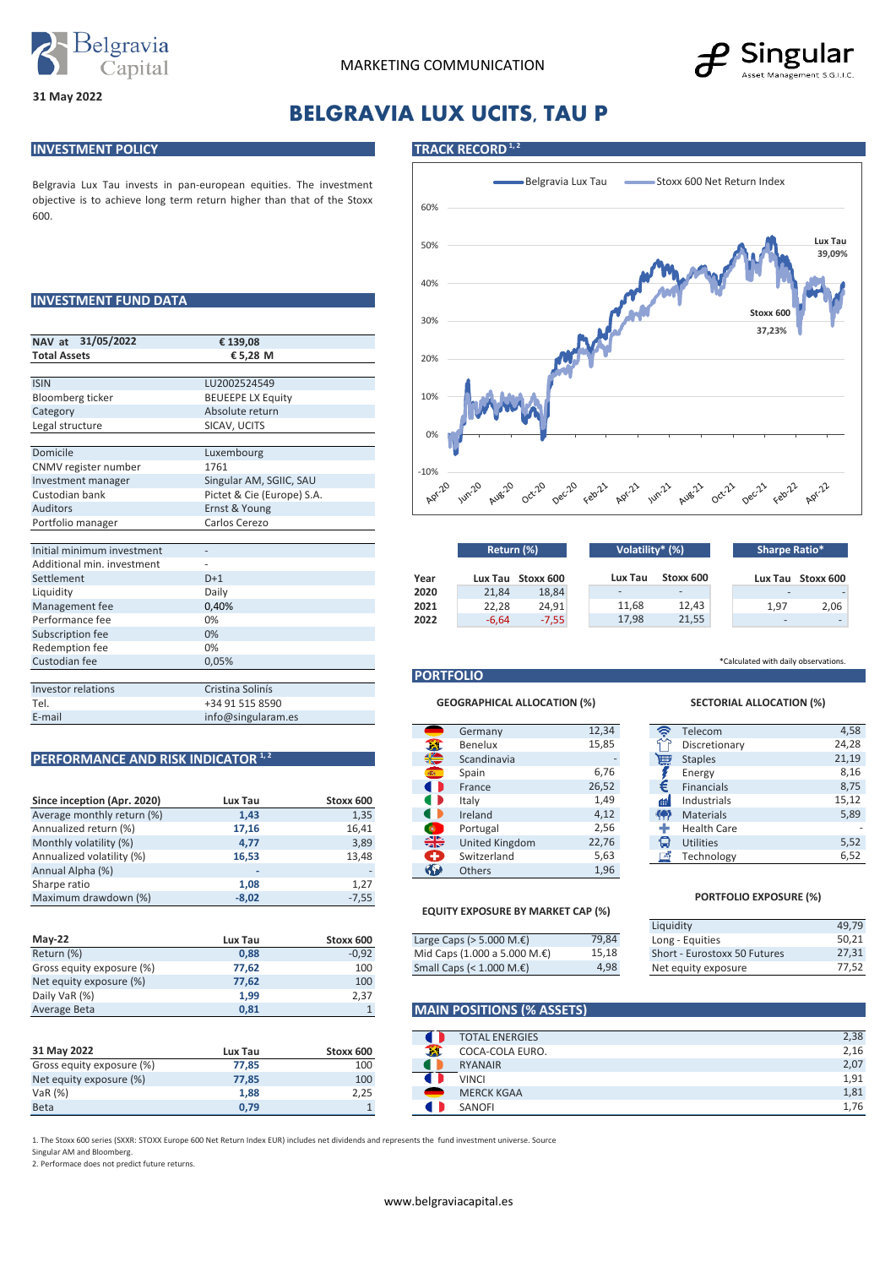



# **BELGRAVIA LUX UCITS, TAU P**

## **INVESTMENT POLICY TRACK RECORD**<sup>1,2</sup>

Belgravia Lux Tau invests in pan-european equities. The investment objective is to achieve long term return higher than that of the Stoxx 600.

## **INVESTMENT FUND DATA**

| NAV at 31/05/2022          | € 139,08                   |  |  |  |  |
|----------------------------|----------------------------|--|--|--|--|
| <b>Total Assets</b>        | €5,28 M                    |  |  |  |  |
|                            |                            |  |  |  |  |
| <b>ISIN</b>                | LU2002524549               |  |  |  |  |
| Bloomberg ticker           | <b>BEUEEPE LX Equity</b>   |  |  |  |  |
| Category                   | Absolute return            |  |  |  |  |
| Legal structure            | SICAV, UCITS               |  |  |  |  |
|                            |                            |  |  |  |  |
| Domicile                   | Luxembourg                 |  |  |  |  |
| CNMV register number       | 1761                       |  |  |  |  |
| Investment manager         | Singular AM, SGIIC, SAU    |  |  |  |  |
| Custodian bank             | Pictet & Cie (Europe) S.A. |  |  |  |  |
| <b>Auditors</b>            | Ernst & Young              |  |  |  |  |
| Portfolio manager          | Carlos Cerezo              |  |  |  |  |
|                            |                            |  |  |  |  |
| Initial minimum investment |                            |  |  |  |  |
| Additional min. investment |                            |  |  |  |  |
| Settlement                 | $D+1$                      |  |  |  |  |
| Liquidity                  | Daily                      |  |  |  |  |
| Management fee             | 0,40%                      |  |  |  |  |
| Performance fee            | 0%                         |  |  |  |  |
| Subscription fee           | 0%                         |  |  |  |  |
| Redemption fee             | 0%                         |  |  |  |  |
| Custodian fee              | 0,05%                      |  |  |  |  |
|                            |                            |  |  |  |  |
| Investor relations         | Cristina Solinís           |  |  |  |  |
| Tel.                       | +34 91 515 8590            |  |  |  |  |
| E-mail                     | info@singularam.es         |  |  |  |  |

|                             |         |           |              |                | $-1$  |           |                    |
|-----------------------------|---------|-----------|--------------|----------------|-------|-----------|--------------------|
| Since inception (Apr. 2020) | Lux Tau | Stoxx 600 |              | Italy          | 1,49  | m         | Industrials        |
| Average monthly return (%)  | 1,43    | 1,35      |              | Ireland        | 4,12  | <b>KA</b> | <b>Materials</b>   |
| Annualized return (%)       | 17,16   | 16,41     | ಿ            | Portugal       | 2,56  |           | <b>Health Care</b> |
| Monthly volatility (%)      | 4,77    | 3,89      | ╬            | United Kingdom | 22,76 | ы         | <b>Utilities</b>   |
| Annualized volatility (%)   | 16,53   | 13,48     |              | Switzerland    | 5,63  | A         | Technology         |
| Annual Alpha (%)            |         |           | $\mathbf{G}$ | <b>Others</b>  | 1,96  |           |                    |
| Sharpe ratio                | 1,08    | 1,27      |              |                |       |           |                    |
| Maximum drawdown (%)        | $-8,02$ | $-7,55$   |              |                |       |           | <b>PORTFOI</b>     |

| <b>Mav-22</b>             | Lux Tau | Stoxx 600 | Large Caps ( $>$ 5.000 M. $\epsilon$ ) | 79,84 | Long - Equities              |
|---------------------------|---------|-----------|----------------------------------------|-------|------------------------------|
| Return (%)                | 0,88    | $-0,92$   | Mid Caps (1.000 a 5.000 M.€)           | 15,18 | Short - Eurostoxx 50 Futures |
| Gross equity exposure (%) | 77,62   | 100       | Small Caps $(1.000 \, \text{M.E})$     | 4,98  | Net equity exposure          |
| Net equity exposure (%)   | 77,62   | 100       |                                        |       |                              |
| Daily VaR (%)             | 1,99    | 2,37      |                                        |       |                              |
| Average Beta              | 0.81    |           | <b>MAIN POSITIONS (% ASSETS)</b>       |       |                              |

|                           |         |           | TU INL LITLITULU  |
|---------------------------|---------|-----------|-------------------|
| 31 May 2022               | Lux Tau | Stoxx 600 | COCA-COLA EURO.   |
| Gross equity exposure (%) | 77.85   | 100       | <b>RYANAIR</b>    |
| Net equity exposure (%)   | 77.85   | 100       | <b>VINCI</b>      |
| VaR(%)                    | 1.88    | 2,25      | <b>MERCK KGAA</b> |
| <b>Beta</b>               | 0.79    |           | SANOFI            |

Belgravia Lux Tau Belgravia Lux Tau Belgravia Lux Tau 60% **Lux Tau** 50% **39,09%** 40% **Stoxx 600**  30% **37,23%** 20% 10% 0% -10%<br>Agr<sup>20</sup> Jun-20 Apr-22 Apr-21 Jun-21 Aug-21 **Oct-21** Feb22 Dec-21

| Initial minimum investment |       |      | Return (%) |                   | Volatility* (%) |           | Sharpe Ratio* |                   |
|----------------------------|-------|------|------------|-------------------|-----------------|-----------|---------------|-------------------|
| Additional min. investment |       |      |            |                   |                 |           |               |                   |
| Settlement                 | $D+1$ | Year |            | Lux Tau Stoxx 600 | Lux Tau         | Stoxx 600 |               | Lux Tau Stoxx 600 |
| Liguidity                  | Daily | 2020 | 21,84      | 18,84             |                 |           |               |                   |
| Management fee             | 0,40% | 2021 | 22,28      | 24,91             | 11,68           | 12,43     | 1,97          | 2.06              |
| Performance fee            | 0%    | 2022 | -6,64      | $-7,55$           | 17,98           | 21,55     | $\equiv$      |                   |
|                            |       |      |            |                   |                 |           |               |                   |

### **PORTFOLIO**

#### **GEOGRAPHICAL ALLOCATION (%) SECTORIAL ALLOCATION (%)**

|                                    |         |           |                | Germany        | 12,34 | ຣ                | Telecom            |
|------------------------------------|---------|-----------|----------------|----------------|-------|------------------|--------------------|
|                                    |         |           | -75            | Benelux        | 15,85 |                  | Discretionary      |
| PERFORMANCE AND RISK INDICATOR 1,2 |         | €         | Scandinavia    |                | 圃     | <b>Staples</b>   |                    |
|                                    |         |           |                | Spain          | 6,76  |                  | Energy             |
|                                    |         |           | $\blacksquare$ | France         | 26,52 | €                | <b>Financials</b>  |
| Since inception (Apr. 2020)        | Lux Tau | Stoxx 600 |                | Italy          | 1,49  | 曲                | Industrials        |
| Average monthly return (%)         | 1,43    | 1,35      |                | Ireland        | 4,12  | <b>&lt;4&gt;</b> | <b>Materials</b>   |
| Annualized return (%)              | 17,16   | 16,41     | $\bullet$      | Portugal       | 2,56  |                  | <b>Health Care</b> |
| Monthly volatility (%)             | 4,77    | 3,89      | ╬              | United Kingdom | 22,76 | G                | <b>Utilities</b>   |
| Annualized volatility (%)          | 16,53   | 13,48     | æ              | Switzerland    | 5,63  | 凾                | Technology         |
| Annual Alpha (%)                   |         |           | <b>Sal</b>     | Others         | 1,96  |                  |                    |

### **EQUITY EXPOSURE BY MARKET CAP (%)**

|         |           |                                        |       | Liquidity        |
|---------|-----------|----------------------------------------|-------|------------------|
| Lux Tau | Stoxx 600 | Large Caps ( $>$ 5.000 M. $\epsilon$ ) | 79,84 | Long - Equities  |
| 0.88    | $-0.92$   | Mid Caps $(1.000 a 5.000 M.E)$         | 15.18 | Short - Eurosto: |
| 77.62   | 100       | Small Caps (< $1.000$ M. $\epsilon$ )  | 4,98  | Net equity expo  |

### **MAIN POSITIONS (% ASSETS)**

|   | <b>TOTAL ENERGIES</b> | 2,38 |
|---|-----------------------|------|
|   | COCA-COLA EURO.       | 2,16 |
| ш | <b>RYANAIR</b>        | 2,07 |
|   | <b>VINCI</b>          | 1,91 |
|   | <b>MERCK KGAA</b>     | 1,81 |
|   | SANOFI                | 1,76 |

1. The Stoxx 600 series (SXXR: STOXX Europe 600 Net Return Index EUR) includes net dividends and represents the fund investment universe. Source

Singular AM and Bloomberg.

2. Performace does not predict future returns.



\*Calculated with daily observations.

| 12,34       | <b>G</b>     | Telecom            | 4,58  |
|-------------|--------------|--------------------|-------|
| 15,85       |              | Discretionary      | 24,28 |
|             | 圃            | <b>Staples</b>     | 21,19 |
| 6,76        |              | Energy             | 8,16  |
| 26,52       | €            | <b>Financials</b>  | 8,75  |
| 1,49        | Æ۱           | Industrials        | 15,12 |
| 4,12        | 仲            | <b>Materials</b>   | 5,89  |
| 2,56        | ٠            | <b>Health Care</b> |       |
| 22,76       | ١H           | <b>Utilities</b>   | 5,52  |
| 5,63        | $\mathbb{Z}$ | Technology         | 6,52  |
| $\sim$ $ -$ |              |                    |       |

### **PORTFOLIO EXPOSURE (%)**

| Liquidity                    | 49.79 |
|------------------------------|-------|
| Long - Equities              | 50.21 |
| Short - Eurostoxx 50 Futures | 27.31 |
| Net equity exposure          | 77.52 |